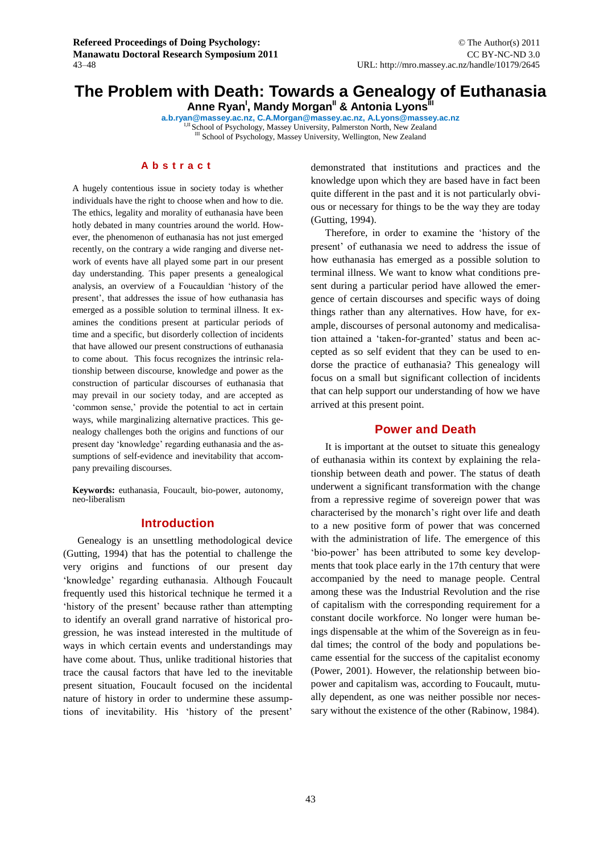# **The Problem with Death: Towards a Genealogy of Euthanasia**

**Anne Ryan<sup>I</sup> , Mandy Morgan II & Antonia Lyons III**

**a.b.ryan@massey.ac.nz, C.A.Morgan@massey.ac.nz, A.Lyons@massey.ac.nz** I,II School of Psychology, Massey University, Palmerston North, New Zealand III School of Psychology, Massey University, Wellington, New Zealand

## **A b s t r a c t**

A hugely contentious issue in society today is whether individuals have the right to choose when and how to die. The ethics, legality and morality of euthanasia have been hotly debated in many countries around the world. However, the phenomenon of euthanasia has not just emerged recently, on the contrary a wide ranging and diverse network of events have all played some part in our present day understanding. This paper presents a genealogical analysis, an overview of a Foucauldian 'history of the present', that addresses the issue of how euthanasia has emerged as a possible solution to terminal illness. It examines the conditions present at particular periods of time and a specific, but disorderly collection of incidents that have allowed our present constructions of euthanasia to come about. This focus recognizes the intrinsic relationship between discourse, knowledge and power as the construction of particular discourses of euthanasia that may prevail in our society today, and are accepted as 'common sense,' provide the potential to act in certain ways, while marginalizing alternative practices. This genealogy challenges both the origins and functions of our present day 'knowledge' regarding euthanasia and the assumptions of self-evidence and inevitability that accompany prevailing discourses.

**Keywords:** euthanasia, Foucault, bio-power, autonomy, neo-liberalism

## **Introduction**

Genealogy is an unsettling methodological device (Gutting, 1994) that has the potential to challenge the very origins and functions of our present day 'knowledge' regarding euthanasia. Although Foucault frequently used this historical technique he termed it a 'history of the present' because rather than attempting to identify an overall grand narrative of historical progression, he was instead interested in the multitude of ways in which certain events and understandings may have come about. Thus, unlike traditional histories that trace the causal factors that have led to the inevitable present situation, Foucault focused on the incidental nature of history in order to undermine these assumptions of inevitability. His 'history of the present'

demonstrated that institutions and practices and the knowledge upon which they are based have in fact been quite different in the past and it is not particularly obvious or necessary for things to be the way they are today (Gutting, 1994).

Therefore, in order to examine the 'history of the present' of euthanasia we need to address the issue of how euthanasia has emerged as a possible solution to terminal illness. We want to know what conditions present during a particular period have allowed the emergence of certain discourses and specific ways of doing things rather than any alternatives. How have, for example, discourses of personal autonomy and medicalisation attained a 'taken-for-granted' status and been accepted as so self evident that they can be used to endorse the practice of euthanasia? This genealogy will focus on a small but significant collection of incidents that can help support our understanding of how we have arrived at this present point.

## **Power and Death**

It is important at the outset to situate this genealogy of euthanasia within its context by explaining the relationship between death and power. The status of death underwent a significant transformation with the change from a repressive regime of sovereign power that was characterised by the monarch's right over life and death to a new positive form of power that was concerned with the administration of life. The emergence of this 'bio-power' has been attributed to some key developments that took place early in the 17th century that were accompanied by the need to manage people. Central among these was the Industrial Revolution and the rise of capitalism with the corresponding requirement for a constant docile workforce. No longer were human beings dispensable at the whim of the Sovereign as in feudal times; the control of the body and populations became essential for the success of the capitalist economy (Power, 2001). However, the relationship between biopower and capitalism was, according to Foucault, mutually dependent, as one was neither possible nor necessary without the existence of the other (Rabinow, 1984).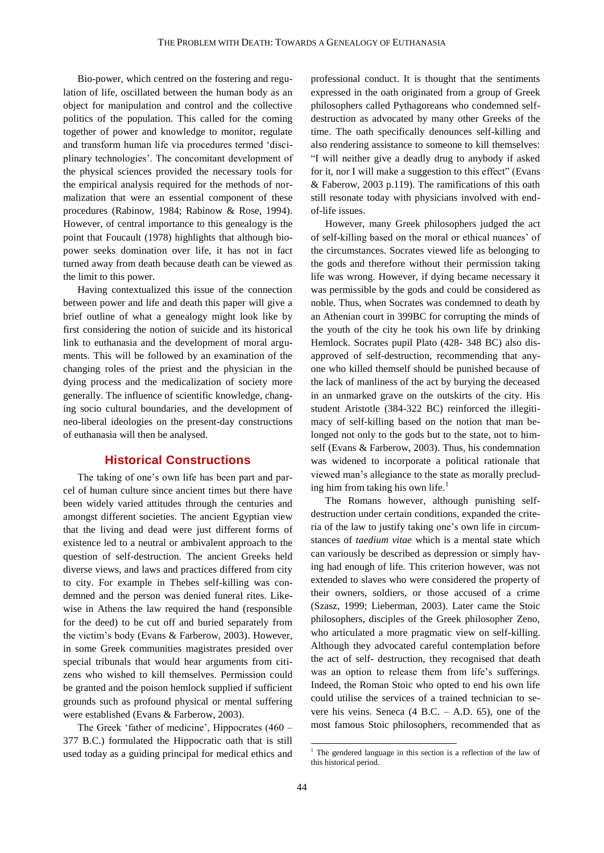Bio-power, which centred on the fostering and regulation of life, oscillated between the human body as an object for manipulation and control and the collective politics of the population. This called for the coming together of power and knowledge to monitor, regulate and transform human life via procedures termed 'disciplinary technologies'. The concomitant development of the physical sciences provided the necessary tools for the empirical analysis required for the methods of normalization that were an essential component of these procedures (Rabinow, 1984; Rabinow & Rose, 1994). However, of central importance to this genealogy is the point that Foucault (1978) highlights that although biopower seeks domination over life, it has not in fact turned away from death because death can be viewed as the limit to this power.

Having contextualized this issue of the connection between power and life and death this paper will give a brief outline of what a genealogy might look like by first considering the notion of suicide and its historical link to euthanasia and the development of moral arguments. This will be followed by an examination of the changing roles of the priest and the physician in the dying process and the medicalization of society more generally. The influence of scientific knowledge, changing socio cultural boundaries, and the development of neo-liberal ideologies on the present-day constructions of euthanasia will then be analysed.

## **Historical Constructions**

The taking of one's own life has been part and parcel of human culture since ancient times but there have been widely varied attitudes through the centuries and amongst different societies. The ancient Egyptian view that the living and dead were just different forms of existence led to a neutral or ambivalent approach to the question of self-destruction. The ancient Greeks held diverse views, and laws and practices differed from city to city. For example in Thebes self-killing was condemned and the person was denied funeral rites. Likewise in Athens the law required the hand (responsible for the deed) to be cut off and buried separately from the victim's body (Evans & Farberow, 2003). However, in some Greek communities magistrates presided over special tribunals that would hear arguments from citizens who wished to kill themselves. Permission could be granted and the poison hemlock supplied if sufficient grounds such as profound physical or mental suffering were established (Evans & Farberow, 2003).

The Greek 'father of medicine', Hippocrates (460 – 377 B.C.) formulated the Hippocratic oath that is still used today as a guiding principal for medical ethics and professional conduct. It is thought that the sentiments expressed in the oath originated from a group of Greek philosophers called Pythagoreans who condemned selfdestruction as advocated by many other Greeks of the time. The oath specifically denounces self-killing and also rendering assistance to someone to kill themselves: "I will neither give a deadly drug to anybody if asked for it, nor I will make a suggestion to this effect" (Evans & Faberow, 2003 p.119). The ramifications of this oath still resonate today with physicians involved with endof-life issues.

However, many Greek philosophers judged the act of self-killing based on the moral or ethical nuances' of the circumstances. Socrates viewed life as belonging to the gods and therefore without their permission taking life was wrong. However, if dying became necessary it was permissible by the gods and could be considered as noble. Thus, when Socrates was condemned to death by an Athenian court in 399BC for corrupting the minds of the youth of the city he took his own life by drinking Hemlock. Socrates pupil Plato (428- 348 BC) also disapproved of self-destruction, recommending that anyone who killed themself should be punished because of the lack of manliness of the act by burying the deceased in an unmarked grave on the outskirts of the city. His student Aristotle (384-322 BC) reinforced the illegitimacy of self-killing based on the notion that man belonged not only to the gods but to the state, not to himself (Evans & Farberow, 2003). Thus, his condemnation was widened to incorporate a political rationale that viewed man's allegiance to the state as morally precluding him from taking his own life. 1

The Romans however, although punishing selfdestruction under certain conditions, expanded the criteria of the law to justify taking one's own life in circumstances of *taedium vitae* which is a mental state which can variously be described as depression or simply having had enough of life. This criterion however, was not extended to slaves who were considered the property of their owners, soldiers, or those accused of a crime (Szasz, 1999; Lieberman, 2003). Later came the Stoic philosophers, disciples of the Greek philosopher Zeno, who articulated a more pragmatic view on self-killing. Although they advocated careful contemplation before the act of self- destruction, they recognised that death was an option to release them from life's sufferings. Indeed, the Roman Stoic who opted to end his own life could utilise the services of a trained technician to severe his veins. Seneca (4 B.C. – A.D. 65), one of the most famous Stoic philosophers, recommended that as

 $\overline{a}$ 

<sup>&</sup>lt;sup>1</sup> The gendered language in this section is a reflection of the law of this historical period.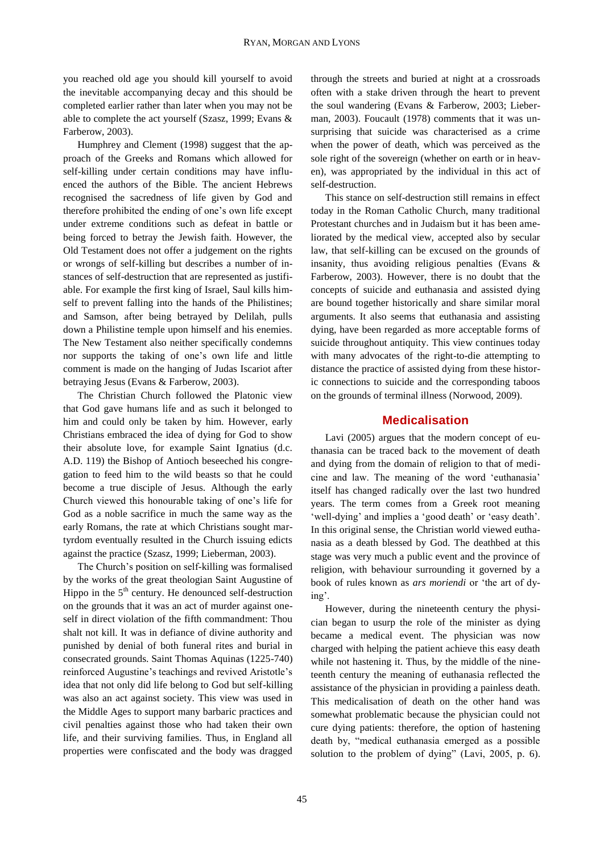you reached old age you should kill yourself to avoid the inevitable accompanying decay and this should be completed earlier rather than later when you may not be able to complete the act yourself (Szasz, 1999; Evans & Farberow, 2003).

Humphrey and Clement (1998) suggest that the approach of the Greeks and Romans which allowed for self-killing under certain conditions may have influenced the authors of the Bible. The ancient Hebrews recognised the sacredness of life given by God and therefore prohibited the ending of one's own life except under extreme conditions such as defeat in battle or being forced to betray the Jewish faith. However, the Old Testament does not offer a judgement on the rights or wrongs of self-killing but describes a number of instances of self-destruction that are represented as justifiable. For example the first king of Israel, Saul kills himself to prevent falling into the hands of the Philistines; and Samson, after being betrayed by Delilah, pulls down a Philistine temple upon himself and his enemies. The New Testament also neither specifically condemns nor supports the taking of one's own life and little comment is made on the hanging of Judas Iscariot after betraying Jesus (Evans & Farberow, 2003).

The Christian Church followed the Platonic view that God gave humans life and as such it belonged to him and could only be taken by him. However, early Christians embraced the idea of dying for God to show their absolute love, for example Saint Ignatius (d.c. A.D. 119) the Bishop of Antioch beseeched his congregation to feed him to the wild beasts so that he could become a true disciple of Jesus. Although the early Church viewed this honourable taking of one's life for God as a noble sacrifice in much the same way as the early Romans, the rate at which Christians sought martyrdom eventually resulted in the Church issuing edicts against the practice (Szasz, 1999; Lieberman, 2003).

The Church's position on self-killing was formalised by the works of the great theologian Saint Augustine of Hippo in the  $5<sup>th</sup>$  century. He denounced self-destruction on the grounds that it was an act of murder against oneself in direct violation of the fifth commandment: Thou shalt not kill. It was in defiance of divine authority and punished by denial of both funeral rites and burial in consecrated grounds. Saint Thomas Aquinas (1225-740) reinforced Augustine's teachings and revived Aristotle's idea that not only did life belong to God but self-killing was also an act against society. This view was used in the Middle Ages to support many barbaric practices and civil penalties against those who had taken their own life, and their surviving families. Thus, in England all properties were confiscated and the body was dragged

through the streets and buried at night at a crossroads often with a stake driven through the heart to prevent the soul wandering (Evans & Farberow, 2003; Lieberman, 2003). Foucault (1978) comments that it was unsurprising that suicide was characterised as a crime when the power of death, which was perceived as the sole right of the sovereign (whether on earth or in heaven), was appropriated by the individual in this act of self-destruction.

This stance on self-destruction still remains in effect today in the Roman Catholic Church, many traditional Protestant churches and in Judaism but it has been ameliorated by the medical view, accepted also by secular law, that self-killing can be excused on the grounds of insanity, thus avoiding religious penalties (Evans & Farberow, 2003). However, there is no doubt that the concepts of suicide and euthanasia and assisted dying are bound together historically and share similar moral arguments. It also seems that euthanasia and assisting dying, have been regarded as more acceptable forms of suicide throughout antiquity. This view continues today with many advocates of the right-to-die attempting to distance the practice of assisted dying from these historic connections to suicide and the corresponding taboos on the grounds of terminal illness (Norwood, 2009).

# **Medicalisation**

Lavi (2005) argues that the modern concept of euthanasia can be traced back to the movement of death and dying from the domain of religion to that of medicine and law. The meaning of the word 'euthanasia' itself has changed radically over the last two hundred years. The term comes from a Greek root meaning 'well-dying' and implies a 'good death' or 'easy death'. In this original sense, the Christian world viewed euthanasia as a death blessed by God. The deathbed at this stage was very much a public event and the province of religion, with behaviour surrounding it governed by a book of rules known as *ars moriendi* or 'the art of dying'.

However, during the nineteenth century the physician began to usurp the role of the minister as dying became a medical event. The physician was now charged with helping the patient achieve this easy death while not hastening it. Thus, by the middle of the nineteenth century the meaning of euthanasia reflected the assistance of the physician in providing a painless death. This medicalisation of death on the other hand was somewhat problematic because the physician could not cure dying patients: therefore, the option of hastening death by, "medical euthanasia emerged as a possible solution to the problem of dying" (Lavi, 2005, p. 6).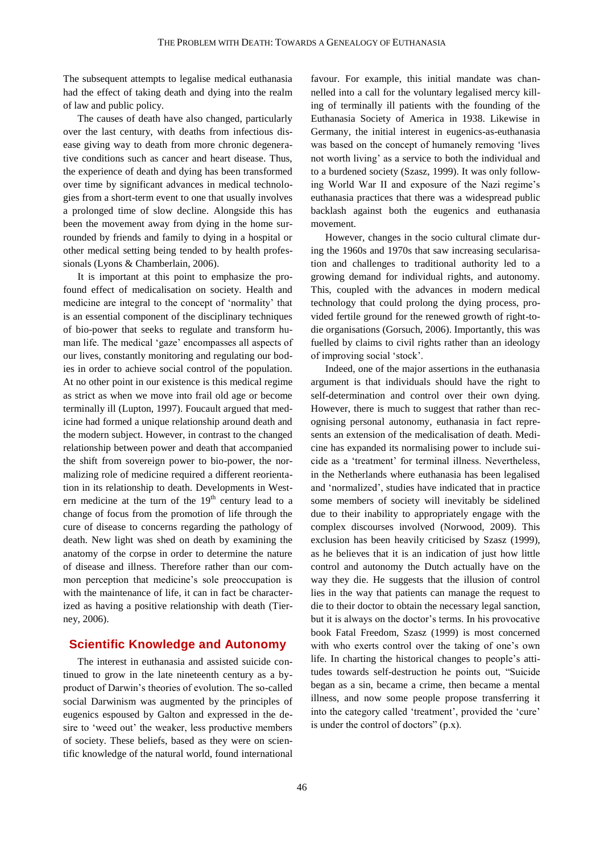The subsequent attempts to legalise medical euthanasia had the effect of taking death and dying into the realm of law and public policy.

The causes of death have also changed, particularly over the last century, with deaths from infectious disease giving way to death from more chronic degenerative conditions such as cancer and heart disease. Thus, the experience of death and dying has been transformed over time by significant advances in medical technologies from a short-term event to one that usually involves a prolonged time of slow decline. Alongside this has been the movement away from dying in the home surrounded by friends and family to dying in a hospital or other medical setting being tended to by health professionals (Lyons & Chamberlain, 2006).

It is important at this point to emphasize the profound effect of medicalisation on society. Health and medicine are integral to the concept of 'normality' that is an essential component of the disciplinary techniques of bio-power that seeks to regulate and transform human life. The medical 'gaze' encompasses all aspects of our lives, constantly monitoring and regulating our bodies in order to achieve social control of the population. At no other point in our existence is this medical regime as strict as when we move into frail old age or become terminally ill (Lupton, 1997). Foucault argued that medicine had formed a unique relationship around death and the modern subject. However, in contrast to the changed relationship between power and death that accompanied the shift from sovereign power to bio-power, the normalizing role of medicine required a different reorientation in its relationship to death. Developments in Western medicine at the turn of the  $19<sup>th</sup>$  century lead to a change of focus from the promotion of life through the cure of disease to concerns regarding the pathology of death. New light was shed on death by examining the anatomy of the corpse in order to determine the nature of disease and illness. Therefore rather than our common perception that medicine's sole preoccupation is with the maintenance of life, it can in fact be characterized as having a positive relationship with death (Tierney, 2006).

### **Scientific Knowledge and Autonomy**

The interest in euthanasia and assisted suicide continued to grow in the late nineteenth century as a byproduct of Darwin's theories of evolution. The so-called social Darwinism was augmented by the principles of eugenics espoused by Galton and expressed in the desire to 'weed out' the weaker, less productive members of society. These beliefs, based as they were on scientific knowledge of the natural world, found international favour. For example, this initial mandate was channelled into a call for the voluntary legalised mercy killing of terminally ill patients with the founding of the Euthanasia Society of America in 1938. Likewise in Germany, the initial interest in eugenics-as-euthanasia was based on the concept of humanely removing 'lives not worth living' as a service to both the individual and to a burdened society (Szasz, 1999). It was only following World War II and exposure of the Nazi regime's euthanasia practices that there was a widespread public backlash against both the eugenics and euthanasia movement.

However, changes in the socio cultural climate during the 1960s and 1970s that saw increasing secularisation and challenges to traditional authority led to a growing demand for individual rights, and autonomy. This, coupled with the advances in modern medical technology that could prolong the dying process, provided fertile ground for the renewed growth of right-todie organisations (Gorsuch, 2006). Importantly, this was fuelled by claims to civil rights rather than an ideology of improving social 'stock'.

Indeed, one of the major assertions in the euthanasia argument is that individuals should have the right to self-determination and control over their own dying. However, there is much to suggest that rather than recognising personal autonomy, euthanasia in fact represents an extension of the medicalisation of death. Medicine has expanded its normalising power to include suicide as a 'treatment' for terminal illness. Nevertheless, in the Netherlands where euthanasia has been legalised and 'normalized', studies have indicated that in practice some members of society will inevitably be sidelined due to their inability to appropriately engage with the complex discourses involved (Norwood, 2009). This exclusion has been heavily criticised by Szasz (1999), as he believes that it is an indication of just how little control and autonomy the Dutch actually have on the way they die. He suggests that the illusion of control lies in the way that patients can manage the request to die to their doctor to obtain the necessary legal sanction, but it is always on the doctor's terms. In his provocative book Fatal Freedom, Szasz (1999) is most concerned with who exerts control over the taking of one's own life. In charting the historical changes to people's attitudes towards self-destruction he points out, "Suicide began as a sin, became a crime, then became a mental illness, and now some people propose transferring it into the category called 'treatment', provided the 'cure' is under the control of doctors" (p.x).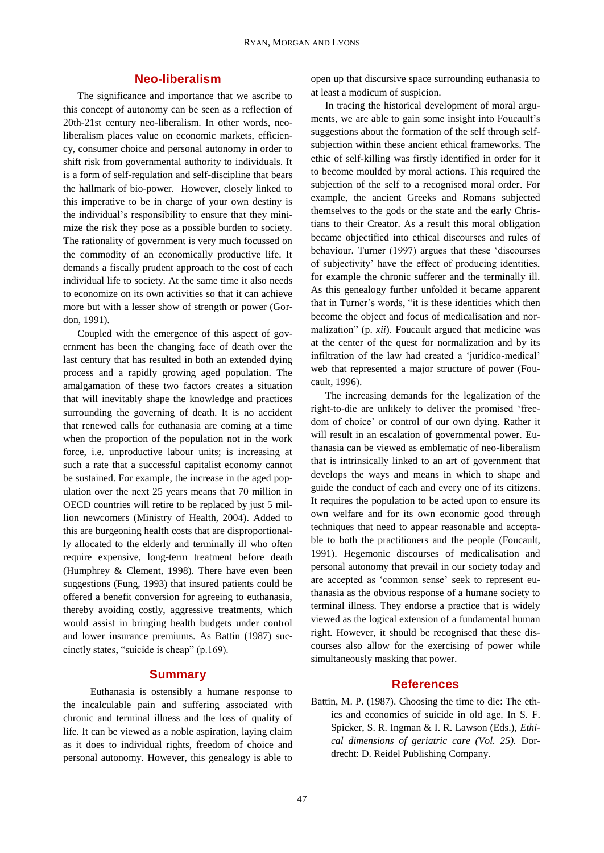## **Neo-liberalism**

The significance and importance that we ascribe to this concept of autonomy can be seen as a reflection of 20th-21st century neo-liberalism. In other words, neoliberalism places value on economic markets, efficiency, consumer choice and personal autonomy in order to shift risk from governmental authority to individuals. It is a form of self-regulation and self-discipline that bears the hallmark of bio-power. However, closely linked to this imperative to be in charge of your own destiny is the individual's responsibility to ensure that they minimize the risk they pose as a possible burden to society. The rationality of government is very much focussed on the commodity of an economically productive life. It demands a fiscally prudent approach to the cost of each individual life to society. At the same time it also needs to economize on its own activities so that it can achieve more but with a lesser show of strength or power (Gordon, 1991).

Coupled with the emergence of this aspect of government has been the changing face of death over the last century that has resulted in both an extended dying process and a rapidly growing aged population. The amalgamation of these two factors creates a situation that will inevitably shape the knowledge and practices surrounding the governing of death. It is no accident that renewed calls for euthanasia are coming at a time when the proportion of the population not in the work force, i.e. unproductive labour units; is increasing at such a rate that a successful capitalist economy cannot be sustained. For example, the increase in the aged population over the next 25 years means that 70 million in OECD countries will retire to be replaced by just 5 million newcomers (Ministry of Health, 2004). Added to this are burgeoning health costs that are disproportionally allocated to the elderly and terminally ill who often require expensive, long-term treatment before death (Humphrey & Clement, 1998). There have even been suggestions (Fung, 1993) that insured patients could be offered a benefit conversion for agreeing to euthanasia, thereby avoiding costly, aggressive treatments, which would assist in bringing health budgets under control and lower insurance premiums. As Battin (1987) succinctly states, "suicide is cheap" (p.169).

## **Summary**

 Euthanasia is ostensibly a humane response to the incalculable pain and suffering associated with chronic and terminal illness and the loss of quality of life. It can be viewed as a noble aspiration, laying claim as it does to individual rights, freedom of choice and personal autonomy. However, this genealogy is able to

open up that discursive space surrounding euthanasia to at least a modicum of suspicion.

In tracing the historical development of moral arguments, we are able to gain some insight into Foucault's suggestions about the formation of the self through selfsubjection within these ancient ethical frameworks. The ethic of self-killing was firstly identified in order for it to become moulded by moral actions. This required the subjection of the self to a recognised moral order. For example, the ancient Greeks and Romans subjected themselves to the gods or the state and the early Christians to their Creator. As a result this moral obligation became objectified into ethical discourses and rules of behaviour. Turner (1997) argues that these 'discourses of subjectivity' have the effect of producing identities, for example the chronic sufferer and the terminally ill. As this genealogy further unfolded it became apparent that in Turner's words, "it is these identities which then become the object and focus of medicalisation and normalization" (p. *xii*). Foucault argued that medicine was at the center of the quest for normalization and by its infiltration of the law had created a 'juridico-medical' web that represented a major structure of power (Foucault, 1996).

The increasing demands for the legalization of the right-to-die are unlikely to deliver the promised 'freedom of choice' or control of our own dying. Rather it will result in an escalation of governmental power. Euthanasia can be viewed as emblematic of neo-liberalism that is intrinsically linked to an art of government that develops the ways and means in which to shape and guide the conduct of each and every one of its citizens. It requires the population to be acted upon to ensure its own welfare and for its own economic good through techniques that need to appear reasonable and acceptable to both the practitioners and the people (Foucault, 1991). Hegemonic discourses of medicalisation and personal autonomy that prevail in our society today and are accepted as 'common sense' seek to represent euthanasia as the obvious response of a humane society to terminal illness. They endorse a practice that is widely viewed as the logical extension of a fundamental human right. However, it should be recognised that these discourses also allow for the exercising of power while simultaneously masking that power.

### **References**

Battin, M. P. (1987). Choosing the time to die: The ethics and economics of suicide in old age. In S. F. Spicker, S. R. Ingman & I. R. Lawson (Eds.), *Ethical dimensions of geriatric care (Vol. 25).* Dordrecht: D. Reidel Publishing Company.